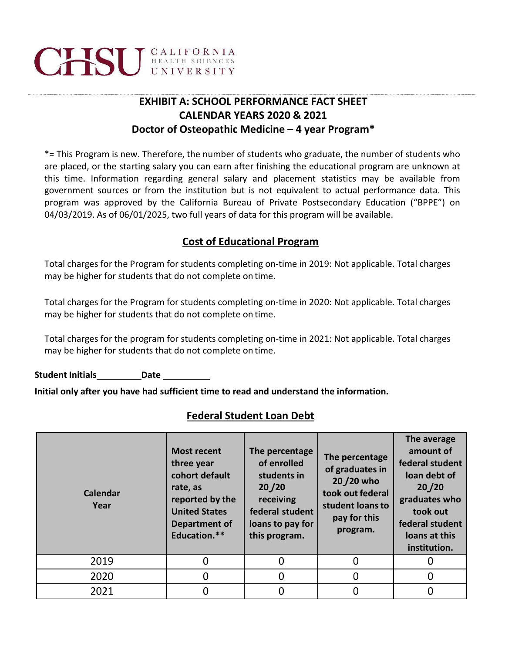# **CHSU** GALIFORNIA

## **EXHIBIT A: SCHOOL PERFORMANCE FACT SHEET CALENDAR YEARS 2020 & 2021 Doctor of Osteopathic Medicine – 4 year Program\***

\*= This Program is new. Therefore, the number of students who graduate, the number of students who are placed, or the starting salary you can earn after finishing the educational program are unknown at this time. Information regarding general salary and placement statistics may be available from government sources or from the institution but is not equivalent to actual performance data. This program was approved by the California Bureau of Private Postsecondary Education ("BPPE") on 04/03/2019. As of 06/01/2025, two full years of data for this program will be available.

### **Cost of Educational Program**

Total charges for the Program for students completing on‐time in 2019: Not applicable. Total charges may be higher for students that do not complete on time.

Total charges for the Program for students completing on‐time in 2020: Not applicable. Total charges may be higher for students that do not complete on time.

Total charges for the program for students completing on‐time in 2021: Not applicable. Total charges may be higher for students that do not complete on time.

**Student Initials Date**

**Initial only after you have had sufficient time to read and understand the information.**

#### **Federal Student Loan Debt**

| <b>Calendar</b><br>Year | <b>Most recent</b><br>three year<br>cohort default<br>rate, as<br>reported by the<br><b>United States</b><br>Department of<br>Education.** | The percentage<br>of enrolled<br>students in<br>20/20<br>receiving<br>federal student<br>loans to pay for<br>this program. | The percentage<br>of graduates in<br>20/20 who<br>took out federal<br>student loans to<br>pay for this<br>program. | The average<br>amount of<br>federal student<br>loan debt of<br>20/20<br>graduates who<br>took out<br>federal student<br>loans at this<br>institution. |
|-------------------------|--------------------------------------------------------------------------------------------------------------------------------------------|----------------------------------------------------------------------------------------------------------------------------|--------------------------------------------------------------------------------------------------------------------|-------------------------------------------------------------------------------------------------------------------------------------------------------|
| 2019                    |                                                                                                                                            | 0                                                                                                                          | 0                                                                                                                  |                                                                                                                                                       |
| 2020                    |                                                                                                                                            | 0                                                                                                                          | O                                                                                                                  | 0                                                                                                                                                     |
| 2021                    |                                                                                                                                            | 0                                                                                                                          | 0                                                                                                                  |                                                                                                                                                       |